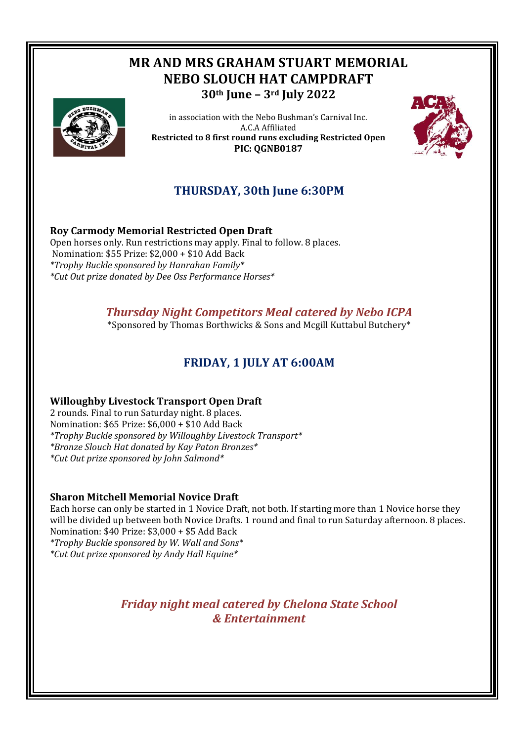# **MR AND MRS GRAHAM STUART MEMORIAL NEBO SLOUCH HAT CAMPDRAFT 30th June – 3rd July 2022**



in association with the Nebo Bushman's Carnival Inc. A.C.A Affiliated **Restricted to 8 first round runs excluding Restricted Open PIC: QGNB0187** 



## **THURSDAY, 30th June 6:30PM**

## **Roy Carmody Memorial Restricted Open Draft**

Open horses only. Run restrictions may apply. Final to follow. 8 places. Nomination: \$55 Prize: \$2,000 + \$10 Add Back *\*Trophy Buckle sponsored by Hanrahan Family\* \*Cut Out prize donated by Dee Oss Performance Horses\**

## *Thursday Night Competitors Meal catered by Nebo ICPA*

\*Sponsored by Thomas Borthwicks & Sons and Mcgill Kuttabul Butchery\*

## **FRIDAY, 1 JULY AT 6:00AM**

### **Willoughby Livestock Transport Open Draft**

2 rounds. Final to run Saturday night. 8 places. Nomination: \$65 Prize: \$6,000 + \$10 Add Back *\*Trophy Buckle sponsored by Willoughby Livestock Transport\* \*Bronze Slouch Hat donated by Kay Paton Bronzes\* \*Cut Out prize sponsored by John Salmond\**

#### **Sharon Mitchell Memorial Novice Draft**

Each horse can only be started in 1 Novice Draft, not both. If starting more than 1 Novice horse they will be divided up between both Novice Drafts. 1 round and final to run Saturday afternoon. 8 places. Nomination: \$40 Prize: \$3,000 + \$5 Add Back *\*Trophy Buckle sponsored by W. Wall and Sons\**

*\*Cut Out prize sponsored by Andy Hall Equine\**

## *Friday night meal catered by Chelona State School & Entertainment*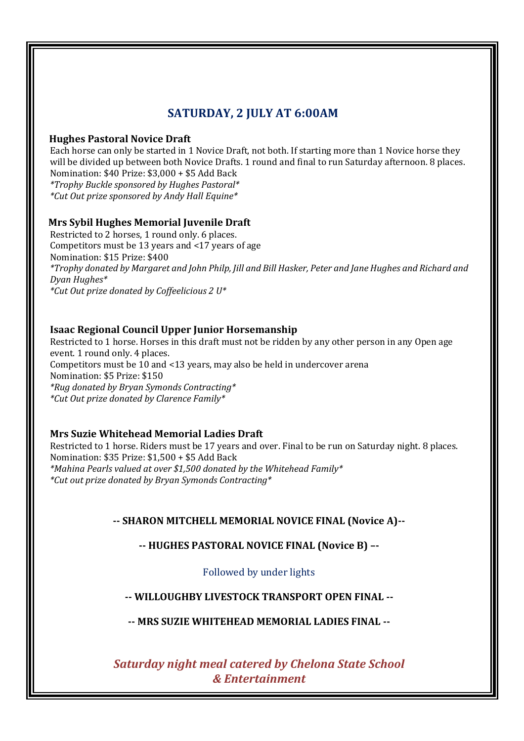## **SATURDAY, 2 JULY AT 6:00AM**

#### **Hughes Pastoral Novice Draft**

Each horse can only be started in 1 Novice Draft, not both. If starting more than 1 Novice horse they will be divided up between both Novice Drafts. 1 round and final to run Saturday afternoon. 8 places. Nomination: \$40 Prize: \$3,000 + \$5 Add Back *\*Trophy Buckle sponsored by Hughes Pastoral\**

*\*Cut Out prize sponsored by Andy Hall Equine\**

### **Mrs Sybil Hughes Memorial Juvenile Draft**

Restricted to 2 horses, 1 round only. 6 places. Competitors must be 13 years and <17 years of age Nomination: \$15 Prize: \$400 *\*Trophy donated by Margaret and John Philp, Jill and Bill Hasker, Peter and Jane Hughes and Richard and Dyan Hughes\* \*Cut Out prize donated by Coffeelicious 2 U\**

### **Isaac Regional Council Upper Junior Horsemanship**

Restricted to 1 horse. Horses in this draft must not be ridden by any other person in any Open age event. 1 round only. 4 places. Competitors must be 10 and <13 years, may also be held in undercover arena Nomination: \$5 Prize: \$150 *\*Rug donated by Bryan Symonds Contracting\* \*Cut Out prize donated by Clarence Family\**

### **Mrs Suzie Whitehead Memorial Ladies Draft**

Restricted to 1 horse. Riders must be 17 years and over. Final to be run on Saturday night. 8 places. Nomination: \$35 Prize: \$1,500 + \$5 Add Back *\*Mahina Pearls valued at over \$1,500 donated by the Whitehead Family\* \*Cut out prize donated by Bryan Symonds Contracting\**

## **-- SHARON MITCHELL MEMORIAL NOVICE FINAL (Novice A)--**

## **-- HUGHES PASTORAL NOVICE FINAL (Novice B) –-**

Followed by under lights

## **-- WILLOUGHBY LIVESTOCK TRANSPORT OPEN FINAL --**

**-- MRS SUZIE WHITEHEAD MEMORIAL LADIES FINAL --**

*Saturday night meal catered by Chelona State School & Entertainment*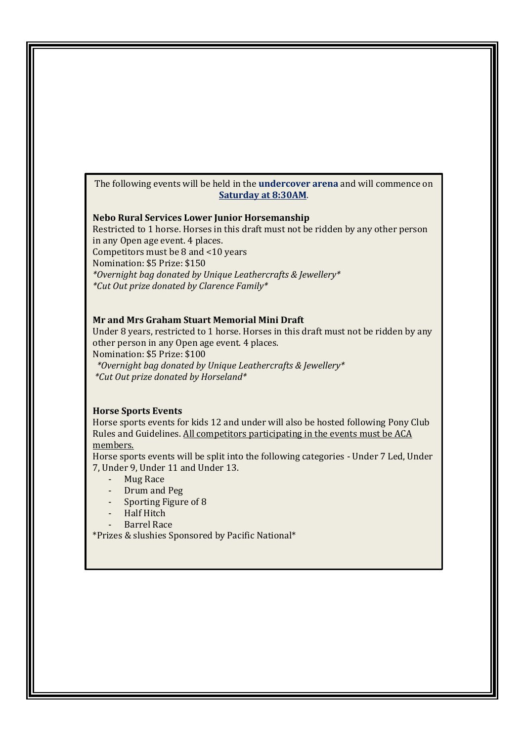#### The following events will be held in the **undercover arena** and will commence on **Saturday at 8:30AM**.

#### **Nebo Rural Services Lower Junior Horsemanship**

Restricted to 1 horse. Horses in this draft must not be ridden by any other person in any Open age event. 4 places.

Competitors must be 8 and <10 years

Nomination: \$5 Prize: \$150

*\*Overnight bag donated by Unique Leathercrafts & Jewellery\* \*Cut Out prize donated by Clarence Family\**

#### **Mr and Mrs Graham Stuart Memorial Mini Draft**

Under 8 years, restricted to 1 horse. Horses in this draft must not be ridden by any other person in any Open age event. 4 places.

Nomination: \$5 Prize: \$100

 *\*Overnight bag donated by Unique Leathercrafts & Jewellery\* \*Cut Out prize donated by Horseland\**

#### **Horse Sports Events**

Horse sports events for kids 12 and under will also be hosted following Pony Club Rules and Guidelines. All competitors participating in the events must be ACA members.

Horse sports events will be split into the following categories - Under 7 Led, Under 7, Under 9, Under 11 and Under 13.

- Mug Race
- Drum and Peg
- Sporting Figure of 8
- Half Hitch
- Barrel Race

\*Prizes & slushies Sponsored by Pacific National\*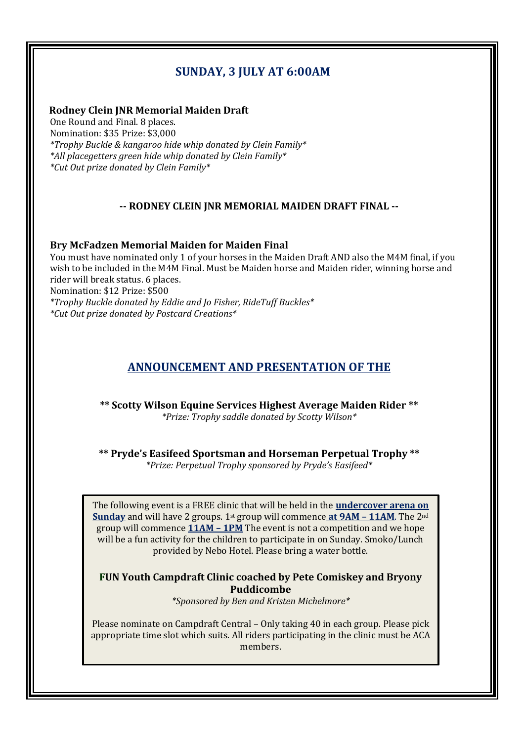## **SUNDAY, 3 JULY AT 6:00AM**

#### **Rodney Clein JNR Memorial Maiden Draft**

One Round and Final. 8 places. Nomination: \$35 Prize: \$3,000 *\*Trophy Buckle & kangaroo hide whip donated by Clein Family\* \*All placegetters green hide whip donated by Clein Family\* \*Cut Out prize donated by Clein Family\**

#### **-- RODNEY CLEIN JNR MEMORIAL MAIDEN DRAFT FINAL --**

#### **Bry McFadzen Memorial Maiden for Maiden Final**

You must have nominated only 1 of your horses in the Maiden Draft AND also the M4M final, if you wish to be included in the M4M Final. Must be Maiden horse and Maiden rider, winning horse and rider will break status. 6 places. Nomination: \$12 Prize: \$500 *\*Trophy Buckle donated by Eddie and Jo Fisher, RideTuff Buckles\* \*Cut Out prize donated by Postcard Creations\**

## **ANNOUNCEMENT AND PRESENTATION OF THE**

**\*\* Scotty Wilson Equine Services Highest Average Maiden Rider \*\*** *\*Prize: Trophy saddle donated by Scotty Wilson\**

**\*\* Pryde's Easifeed Sportsman and Horseman Perpetual Trophy \*\*** *\*Prize: Perpetual Trophy sponsored by Pryde's Easifeed\**

The following event is a FREE clinic that will be held in the **undercover arena on Sunday** and will have 2 groups. 1st group will commence **at 9AM – 11AM**. The 2nd group will commence **11AM – 1PM** The event is not a competition and we hope will be a fun activity for the children to participate in on Sunday. Smoko/Lunch provided by Nebo Hotel. Please bring a water bottle.

### **FUN Youth Campdraft Clinic coached by Pete Comiskey and Bryony Puddicombe**

*\*Sponsored by Ben and Kristen Michelmore\**

Please nominate on Campdraft Central – Only taking 40 in each group. Please pick appropriate time slot which suits. All riders participating in the clinic must be ACA members.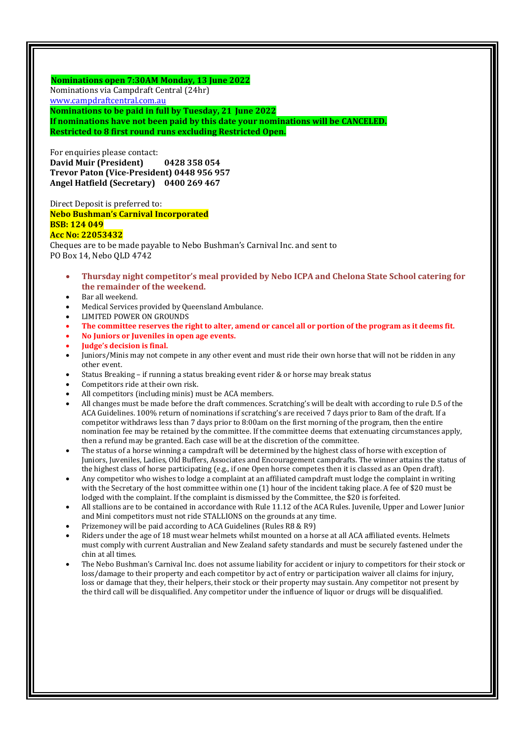**Nominations open 7:30AM Monday, 13 June 2022** Nominations via Campdraft Central (24hr) [www.campdraftcentral.com.au](http://www.campdraftcentral.com.au/) **Nominations to be paid in full by Tuesday, 21 June 2022**

**If nominations have not been paid by this date your nominations will be CANCELED. Restricted to 8 first round runs excluding Restricted Open.**

For enquiries please contact: **David Muir (President) 0428 358 054 Trevor Paton (Vice-President) 0448 956 957 Angel Hatfield (Secretary) 0400 269 467**

Direct Deposit is preferred to: **Nebo Bushman's Carnival Incorporated BSB: 124 049 Acc No: 22053432**

Cheques are to be made payable to Nebo Bushman's Carnival Inc. and sent to PO Box 14, Nebo QLD 4742

- **Thursday night competitor's meal provided by Nebo ICPA and Chelona State School catering for the remainder of the weekend.**
- Bar all weekend.
- Medical Services provided by Queensland Ambulance.
- LIMITED POWER ON GROUNDS
- **The committee reserves the right to alter, amend or cancel all or portion of the program as it deems fit.**
- **No Juniors or Juveniles in open age events.**
- **Judge's decision is final.**
- Juniors/Minis may not compete in any other event and must ride their own horse that will not be ridden in any other event.
- Status Breaking if running a status breaking event rider & or horse may break status
- Competitors ride at their own risk.
- All competitors (including minis) must be ACA members.
- All changes must be made before the draft commences. Scratching's will be dealt with according to rule D.5 of the ACA Guidelines. 100% return of nominations if scratching's are received 7 days prior to 8am of the draft. If a competitor withdraws less than 7 days prior to 8:00am on the first morning of the program, then the entire nomination fee may be retained by the committee. If the committee deems that extenuating circumstances apply, then a refund may be granted. Each case will be at the discretion of the committee.
- The status of a horse winning a campdraft will be determined by the highest class of horse with exception of Juniors, Juveniles, Ladies, Old Buffers, Associates and Encouragement campdrafts. The winner attains the status of the highest class of horse participating (e.g., if one Open horse competes then it is classed as an Open draft).
- Any competitor who wishes to lodge a complaint at an affiliated campdraft must lodge the complaint in writing with the Secretary of the host committee within one (1) hour of the incident taking place. A fee of \$20 must be lodged with the complaint. If the complaint is dismissed by the Committee, the \$20 is forfeited.
- All stallions are to be contained in accordance with Rule 11.12 of the ACA Rules. Juvenile, Upper and Lower Junior and Mini competitors must not ride STALLIONS on the grounds at any time.
- Prizemoney will be paid according to ACA Guidelines (Rules R8 & R9)
- Riders under the age of 18 must wear helmets whilst mounted on a horse at all ACA affiliated events. Helmets must comply with current Australian and New Zealand safety standards and must be securely fastened under the chin at all times.
- The Nebo Bushman's Carnival Inc. does not assume liability for accident or injury to competitors for their stock or loss/damage to their property and each competitor by act of entry or participation waiver all claims for injury, loss or damage that they, their helpers, their stock or their property may sustain. Any competitor not present by the third call will be disqualified. Any competitor under the influence of liquor or drugs will be disqualified.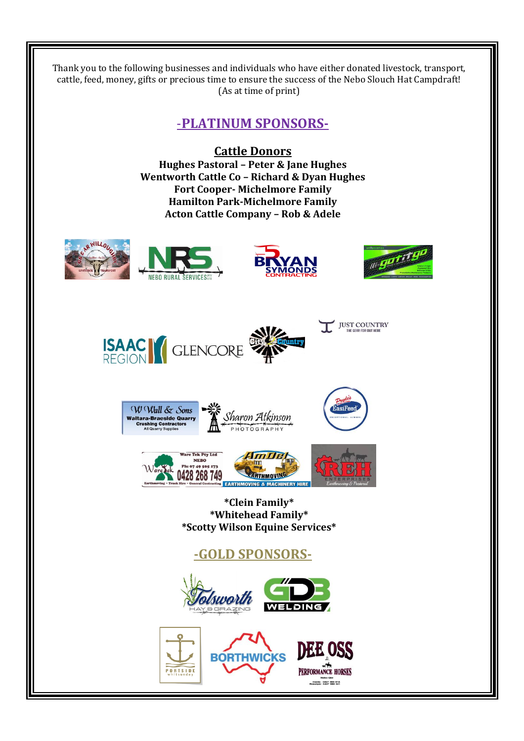Thank you to the following businesses and individuals who have either donated livestock, transport, cattle, feed, money, gifts or precious time to ensure the success of the Nebo Slouch Hat Campdraft! (As at time of print)

## -**PLATINUM SPONSORS-**

### **Cattle Donors**

**Hughes Pastoral – Peter & Jane Hughes Wentworth Cattle Co – Richard & Dyan Hughes Fort Cooper- Michelmore Family Hamilton Park-Michelmore Family Acton Cattle Company – Rob & Adele** 











**\*Clein Family\* \*Whitehead Family\* \*Scotty Wilson Equine Services\***

## **-GOLD SPONSORS-**